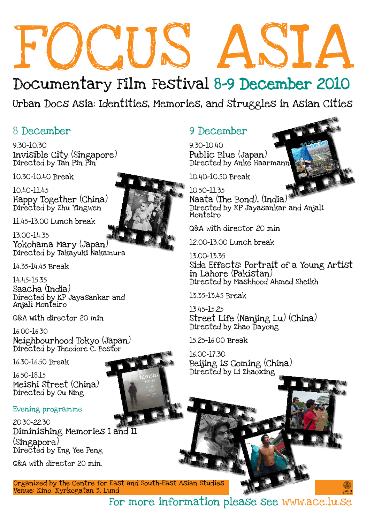# FOCUS ASIA

# Documentary Film Festival 8-9 December 2010

9.30-10.30 Invisible City (Singapore) Directed by Tan Pin Pin

10.30-10.40 Break

10.40-11.45 Happy Together (China) Directed by Zhu Yingwen

11.45-13.00 Lunch break

13.00-14.35 Yokohama Mary (Japan) Directed by Takayuki Nakamura

14.35-14.45 Break

14.45-15.35 Saacha (India) Directed by KP Jayasankar and Anjali Monteiro

Q&A with director 20 min

16.00-16.30 Neighbourhood Tokyo (Japan) Directed by Theodore C. Bestor



16.30-16.50 Break

16.50-18.15 Meishi Street (China) Directed by Ou Ning

Evening programme

20.30-22.30 Diminishing Memories I and II (Singapore) Directed by Eng Yee Peng

Q&A with director 20 min.

Urban Docs Asia: Identities, Memories, and Struggles in Asian Cities

## 8 December 9 December

9.30-10.40 Public Blue (Japan) Directed by Anke Haarmann



10.40-10.50 Break

### 10.50-11.35 Naata (The Bond), (India) Directed by KP Jayasankar and Anjali Monteiro

Q&A with director 20 min

12.00-13.00 Lunch break

## 13.00-13.35

Side Effects: Portrait of a Young Artist in Lahore (Pakistan) Directed by Mashhood Ahmed Sheikh

13.35-13.45 Break

13.45-15.25 Street Life (Nanjing Lu) (China) Directed by Zhao Dayong

15.25-16.00 Break

16.00-17.30 Beijing is Coming (China) Directed by Li Zhaoxing



Layout: Nina Brand



Organized by the Centre for East and South-East Asian Studies Venue: Kino, Kyrkogatan 3, Lund